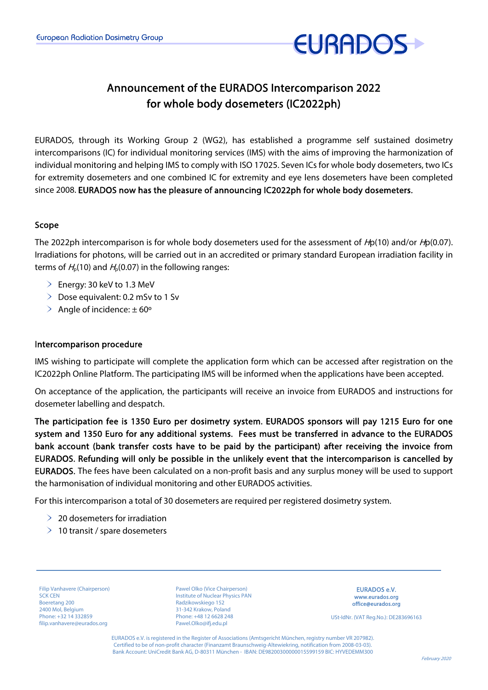

# Announcement of the EURADOS Intercomparison 2022 for whole body dosemeters (IC2022ph)

EURADOS, through its Working Group 2 (WG2), has established a programme self sustained dosimetry intercomparisons (IC) for individual monitoring services (IMS) with the aims of improving the harmonization of individual monitoring and helping IMS to comply with ISO 17025. Seven ICs for whole body dosemeters, two ICs for extremity dosemeters and one combined IC for extremity and eye lens dosemeters have been completed since 2008. EURADOS now has the pleasure of announcing IC2022ph for whole body dosemeters.

### Scope

The 2022ph intercomparison is for whole body dosemeters used for the assessment of  $Hp(10)$  and/or  $Hp(0.07)$ . Irradiations for photons, will be carried out in an accredited or primary standard European irradiation facility in terms of  $H_p(10)$  and  $H_p(0.07)$  in the following ranges:

- $\geq$  Energy: 30 keV to 1.3 MeV
- $\geq$  Dose equivalent: 0.2 mSv to 1 Sv
- $\geq$  Angle of incidence:  $\pm$  60°

#### Intercomparison procedure

IMS wishing to participate will complete the application form which can be accessed after registration on the IC2022ph Online Platform. The participating IMS will be informed when the applications have been accepted.

On acceptance of the application, the participants will receive an invoice from EURADOS and instructions for dosemeter labelling and despatch.

The participation fee is 1350 Euro per dosimetry system. EURADOS sponsors will pay 1215 Euro for one system and 1350 Euro for any additional systems. Fees must be transferred in advance to the EURADOS bank account (bank transfer costs have to be paid by the participant) after receiving the invoice from EURADOS. Refunding will only be possible in the unlikely event that the intercomparison is cancelled by EURADOS. The fees have been calculated on a non-profit basis and any surplus money will be used to support the harmonisation of individual monitoring and other EURADOS activities.

For this intercomparison a total of 30 dosemeters are required per registered dosimetry system.

- $\geq$  20 dosemeters for irradiation
- $\geq 10$  transit / spare dosemeters

Filip Vanhavere (Chairperson) SCK CEN Boeretang 200 2400 Mol, Belgium Phone: +32 14 332859 filip.vanhavere@eurados.org

Pawel Olko (Vice Chairperson) Institute of Nuclear Physics PAN Radzikowskiego 152 31-342 Krakow, Poland Phone: +48 12 6628 248 Pawel.Olko@ifj.edu.pl

EURADOS e.V. www.eurados.org office@eurados.org

USt-IdNr. (VAT Reg.No.): DE283696163

EURADOS e.V. is registered in the Register of Associations (Amtsgericht München, registry number VR 207982). Certified to be of non-profit character (Finanzamt Braunschweig-Altewiekring, notification from 2008-03-03). Bank Account: UniCredit Bank AG, D-80311 München - IBAN: DE98200300000015599159 BIC: HYVEDEMM300